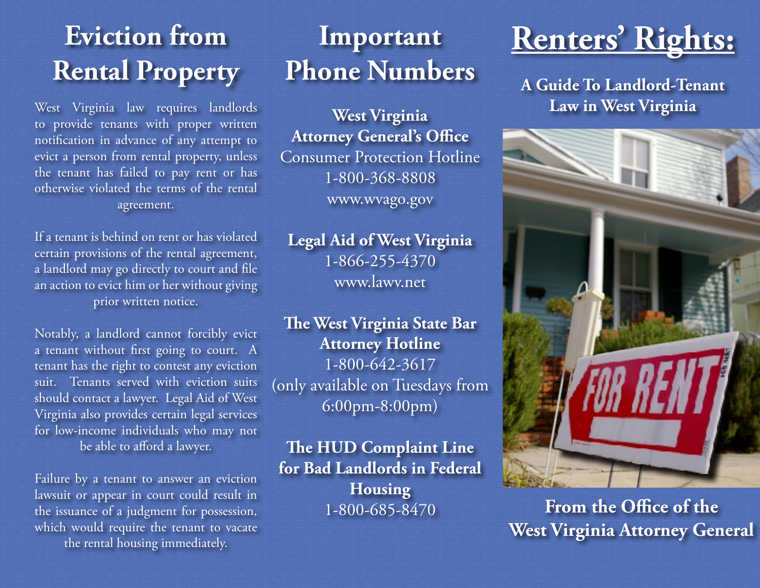# **Eviction from Rental Property**

West Virginia law requires landlords to provide tenants with proper written notification in advance of any attempt to evict a person from rental property, unless the tenant has failed to pay rent or has otherwise violated the terms of the rental agreement.

If a tenant is behind on rent or has violated certain provisions of the rental agreement, a landlord may go directly to court and file an action to evict him or her without giving prior written notice.

Notably, a landlord cannot forcibly evict a tenant without first going to court. A tenant has the right to contest any eviction suit. Tenants served with eviction suits should contact a lawyer. Legal Aid of West Virginia also provides certain legal services for low-income individuals who may not be able to afford a lawyer.

Failure by a tenant to answer an eviction lawsuit or appear in court could result in the issuance of a judgment for possession, which would require the tenant to vacate the rental housing immediately.

# **Important Phone Numbers**

**West Virginia Attorney General's Office** Consumer Protection Hotline 1-800-368-8808 www.wvago.gov

**Legal Aid of West Virginia**  1-866-255-4370 www.lawv.net

**The West Virginia State Bar Attorney Hotline** 1-800-642-3617 (only available on Tuesdays from 6:00pm-8:00pm)

**The HUD Complaint Line for Bad Landlords in Federal Housing** 1-800-685-8470

# **Renters' Rights:**

**A Guide To Landlord-Tenant Law in West Virginia**



**From the Office of the West Virginia Attorney General**